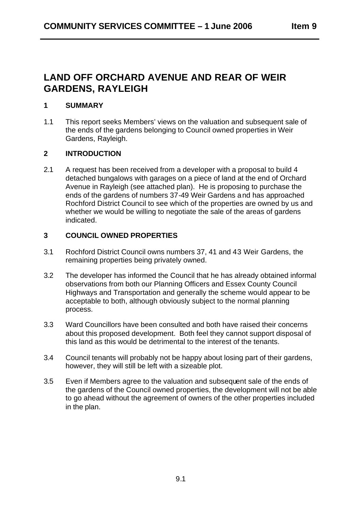# **LAND OFF ORCHARD AVENUE AND REAR OF WEIR GARDENS, RAYLEIGH**

## **1 SUMMARY**

1.1 This report seeks Members' views on the valuation and subsequent sale of the ends of the gardens belonging to Council owned properties in Weir Gardens, Rayleigh.

# **2 INTRODUCTION**

2.1 A request has been received from a developer with a proposal to build 4 detached bungalows with garages on a piece of land at the end of Orchard Avenue in Rayleigh (see attached plan). He is proposing to purchase the ends of the gardens of numbers 37-49 Weir Gardens a nd has approached Rochford District Council to see which of the properties are owned by us and whether we would be willing to negotiate the sale of the areas of gardens indicated.

# **3 COUNCIL OWNED PROPERTIES**

- 3.1 Rochford District Council owns numbers 37, 41 and 43 Weir Gardens, the remaining properties being privately owned.
- 3.2 The developer has informed the Council that he has already obtained informal observations from both our Planning Officers and Essex County Council Highways and Transportation and generally the scheme would appear to be acceptable to both, although obviously subject to the normal planning process.
- 3.3 Ward Councillors have been consulted and both have raised their concerns about this proposed development. Both feel they cannot support disposal of this land as this would be detrimental to the interest of the tenants.
- 3.4 Council tenants will probably not be happy about losing part of their gardens, however, they will still be left with a sizeable plot.
- 3.5 Even if Members agree to the valuation and subsequent sale of the ends of the gardens of the Council owned properties, the development will not be able to go ahead without the agreement of owners of the other properties included in the plan.